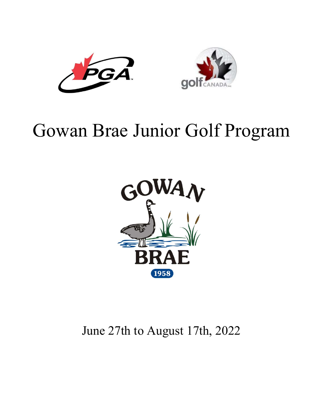



# Gowan Brae Junior Golf Program



June 27th to August 17th, 2022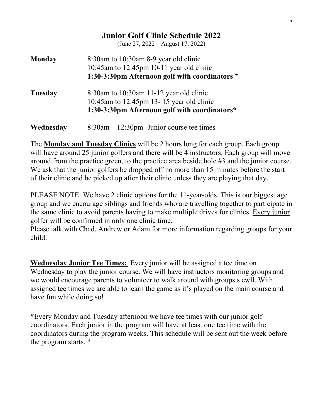# Junior Golf Clinic Schedule 2022 (June 27, 2022 – August 17, 2022) Monday 8:30am to 10:30am 8-9 year old clinic 10:45am to 12:45pm 10-11 year old clinic 1:30-3:30pm Afternoon golf with coordinators \* Tuesday 8:30am to 10:30am 11-12 year old clinic 10:45am to 12:45pm 13- 15 year old clinic 1:30-3:30pm Afternoon golf with coordinators\* **Wednesday** 8:30am – 12:30pm - Junior course tee times

The Monday and Tuesday Clinics will be 2 hours long for each group. Each group will have around 25 junior golfers and there will be 4 instructors. Each group will move around from the practice green, to the practice area beside hole #3 and the junior course. We ask that the junior golfers be dropped off no more than 15 minutes before the start of their clinic and be picked up after their clinic unless they are playing that day.

PLEASE NOTE: We have 2 clinic options for the 11-year-olds. This is our biggest age group and we encourage siblings and friends who are travelling together to participate in the same clinic to avoid parents having to make multiple drives for clinics. Every junior golfer will be confirmed in only one clinic time.

Please talk with Chad, Andrew or Adam for more information regarding groups for your child.

**Wednesday Junior Tee Times:** Every junior will be assigned a tee time on Wednesday to play the junior course. We will have instructors monitoring groups and we would encourage parents to volunteer to walk around with groups s ewll. With assigned tee times we are able to learn the game as it's played on the main course and have fun while doing so!

\*Every Monday and Tuesday afternoon we have tee times with our junior golf coordinators. Each junior in the program will have at least one tee time with the coordinators during the program weeks. This schedule will be sent out the week before the program starts. \*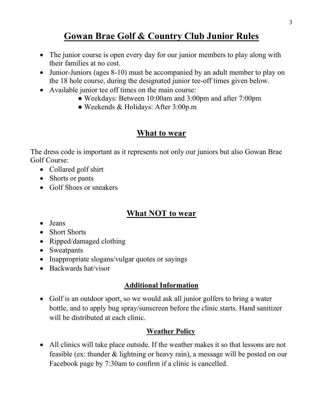# Gowan Brae Golf & Country Club Junior Rules

- The junior course is open every day for our junior members to play along with their families at no cost.
- Junior-Juniors (ages 8-10) must be accompanied by an adult member to play on the 18 hole course, during the designated junior tee-off times given below.
- Available junior tee off times on the main course:
	- Weekdays: Between 10:00am and 3:00pm and after 7:00pm
	- Weekends & Holidays: After 3:00p.m

# What to wear

The dress code is important as it represents not only our juniors but also Gowan Brae Golf Course:

- Collared golf shirt
- Shorts or pants
- Golf Shoes or sneakers

# What NOT to wear

- Jeans
- Short Shorts
- Ripped/damaged clothing
- Sweatpants
- Inappropriate slogans/vulgar quotes or sayings
- Backwards hat/visor

## Additional Information

 Golf is an outdoor sport, so we would ask all junior golfers to bring a water bottle, and to apply bug spray/sunscreen before the clinic starts. Hand sanitizer will be distributed at each clinic.

### Weather Policy

 All clinics will take place outside. If the weather makes it so that lessons are not feasible (ex: thunder & lightning or heavy rain), a message will be posted on our Facebook page by 7:30am to confirm if a clinic is cancelled.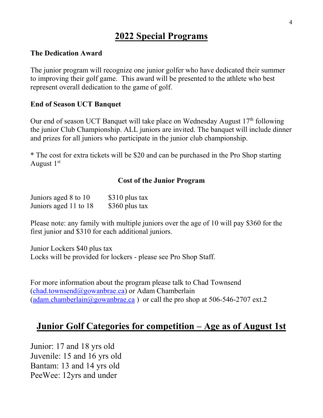# 2022 Special Programs

#### The Dedication Award

The junior program will recognize one junior golfer who have dedicated their summer to improving their golf game. This award will be presented to the athlete who best represent overall dedication to the game of golf.

#### End of Season UCT Banquet

Our end of season UCT Banquet will take place on Wednesday August  $17<sup>th</sup>$  following the junior Club Championship. ALL juniors are invited. The banquet will include dinner and prizes for all juniors who participate in the junior club championship.

\* The cost for extra tickets will be \$20 and can be purchased in the Pro Shop starting August  $1<sup>st</sup>$ 

#### Cost of the Junior Program

| Juniors aged 8 to 10  | \$310 plus tax |
|-----------------------|----------------|
| Juniors aged 11 to 18 | \$360 plus tax |

Please note: any family with multiple juniors over the age of 10 will pay \$360 for the first junior and \$310 for each additional juniors.

Junior Lockers \$40 plus tax Locks will be provided for lockers - please see Pro Shop Staff.

For more information about the program please talk to Chad Townsend  $(chad.townsend@gowanbrae.ca)$  or Adam Chamberlain (adam.chamberlain@gowanbrae.ca) or call the pro shop at 506-546-2707 ext.2

## Junior Golf Categories for competition – Age as of August 1st

Junior: 17 and 18 yrs old Juvenile: 15 and 16 yrs old Bantam: 13 and 14 yrs old PeeWee: 12yrs and under